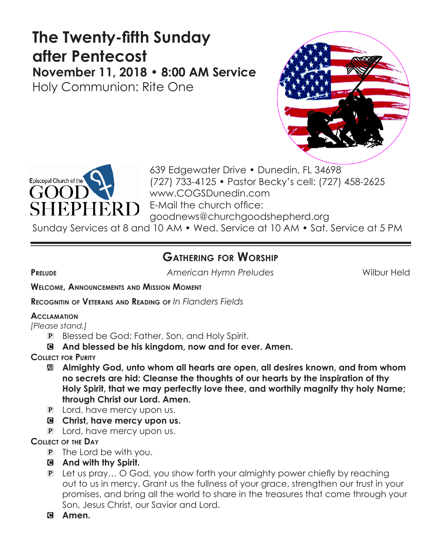# **The Twenty-fifth Sunday after Pentecost November 11, 2018 • 8:00 AM Service**

Holy Communion: Rite One





639 Edgewater Drive • Dunedin, FL 34698 (727) 733-4125 • Pastor Becky's cell: (727) 458-2625 www.COGSDunedin.com E-Mail the church office: goodnews@churchgoodshepherd.org Sunday Services at 8 and 10 AM • Wed. Service at 10 AM • Sat. Service at 5 PM

## **Gathering for Worship**

**Prelude** *American Hymn Preludes* Wilbur Held

**Welcome, Announcements and Mission Moment**

**Recognitin of Veterans and Reading of** *In Flanders Fields*

#### **Acclamation**

*[Please stand.]* 

- P Blessed be God: Father, Son, and Holy Spirit.
- C **And blessed be his kingdom, now and for ever. Amen.**

**Collect for Purity**

- a **Almighty God, unto whom all hearts are open, all desires known, and from whom no secrets are hid: Cleanse the thoughts of our hearts by the inspiration of thy Holy Spirit, that we may perfectly love thee, and worthily magnify thy holy Name; through Christ our Lord. Amen.**
- P Lord, have mercy upon us.
- C **Christ, have mercy upon us.**
- P Lord, have mercy upon us.

**Collect of the Day**

- P The Lord be with you.
- C **And with thy Spirit.**
- P Let us pray… O God, you show forth your almighty power chiefly by reaching out to us in mercy. Grant us the fullness of your grace, strengthen our trust in your promises, and bring all the world to share in the treasures that come through your Son, Jesus Christ, our Savior and Lord.
- C **Amen.**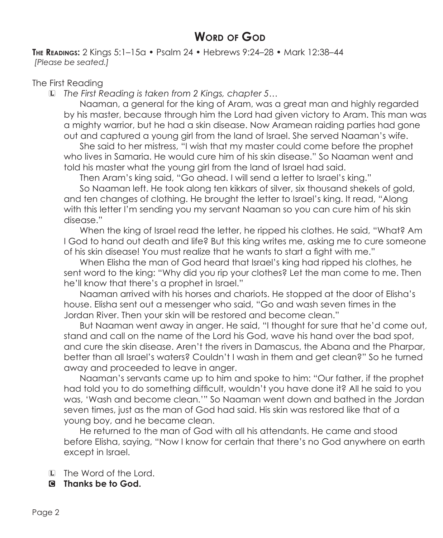## **WORD OF GOD**

**The Readings:** 2 Kings 5:1–15a • Psalm 24 • Hebrews 9:24–28 • Mark 12:38–44 *[Please be seated.]*

#### The First Reading

L *The First Reading is taken from 2 Kings, chapter 5…*

 Naaman, a general for the king of Aram, was a great man and highly regarded by his master, because through him the Lord had given victory to Aram. This man was a mighty warrior, but he had a skin disease. Now Aramean raiding parties had gone out and captured a young girl from the land of Israel. She served Naaman's wife.

 She said to her mistress, "I wish that my master could come before the prophet who lives in Samaria. He would cure him of his skin disease." So Naaman went and told his master what the young girl from the land of Israel had said.

Then Aram's king said, "Go ahead. I will send a letter to Israel's king."

 So Naaman left. He took along ten kikkars of silver, six thousand shekels of gold, and ten changes of clothing. He brought the letter to Israel's king. It read, "Along with this letter I'm sending you my servant Naaman so you can cure him of his skin disease."

 When the king of Israel read the letter, he ripped his clothes. He said, "What? Am I God to hand out death and life? But this king writes me, asking me to cure someone of his skin disease! You must realize that he wants to start a fight with me."

 When Elisha the man of God heard that Israel's king had ripped his clothes, he sent word to the king: "Why did you rip your clothes? Let the man come to me. Then he'll know that there's a prophet in Israel."

 Naaman arrived with his horses and chariots. He stopped at the door of Elisha's house. Elisha sent out a messenger who said, "Go and wash seven times in the Jordan River. Then your skin will be restored and become clean."

 But Naaman went away in anger. He said, "I thought for sure that he'd come out, stand and call on the name of the Lord his God, wave his hand over the bad spot, and cure the skin disease. Aren't the rivers in Damascus, the Abana and the Pharpar, better than all Israel's waters? Couldn't I wash in them and get clean?" So he turned away and proceeded to leave in anger.

 Naaman's servants came up to him and spoke to him: "Our father, if the prophet had told you to do something difficult, wouldn't you have done it? All he said to you was, 'Wash and become clean.'" So Naaman went down and bathed in the Jordan seven times, just as the man of God had said. His skin was restored like that of a young boy, and he became clean.

 He returned to the man of God with all his attendants. He came and stood before Elisha, saying, "Now I know for certain that there's no God anywhere on earth except in Israel.

- L The Word of the Lord.
- C **Thanks be to God.**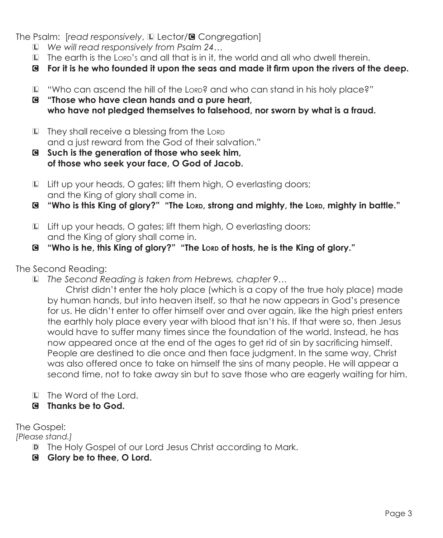The Psalm: *[read responsively*, **L** Lector/**G** Congregation]

- L *We will read responsively from Psalm 24…*
- L The earth is the Lord's and all that is in it, the world and all who dwell therein.
- C **For it is he who founded it upon the seas and made it firm upon the rivers of the deep.**
- $L$  "Who can ascend the hill of the Lord? and who can stand in his holy place?"
- C **"Those who have clean hands and a pure heart, who have not pledged themselves to falsehood, nor sworn by what is a fraud.**
- $L$  They shall receive a blessing from the Lord and a just reward from the God of their salvation."
- C **Such is the generation of those who seek him, of those who seek your face, O God of Jacob.**
- L Lift up your heads, O gates; lift them high, O everlasting doors; and the King of glory shall come in.
- C **"Who is this King of glory?" "The Lord, strong and mighty, the Lord, mighty in battle."**
- L Lift up your heads, O gates; lift them high, O everlasting doors; and the King of glory shall come in.
- C **"Who is he, this King of glory?" "The Lord of hosts, he is the King of glory."**

### The Second Reading:

L *The Second Reading is taken from Hebrews, chapter 9…*

 Christ didn't enter the holy place (which is a copy of the true holy place) made by human hands, but into heaven itself, so that he now appears in God's presence for us. He didn't enter to offer himself over and over again, like the high priest enters the earthly holy place every year with blood that isn't his. If that were so, then Jesus would have to suffer many times since the foundation of the world. Instead, he has now appeared once at the end of the ages to get rid of sin by sacrificing himself. People are destined to die once and then face judgment. In the same way, Christ was also offered once to take on himself the sins of many people. He will appear a second time, not to take away sin but to save those who are eagerly waiting for him.

- L The Word of the Lord.
- C **Thanks be to God.**

The Gospel:

*[Please stand.]*

- D The Holy Gospel of our Lord Jesus Christ according to Mark.
- C **Glory be to thee, O Lord.**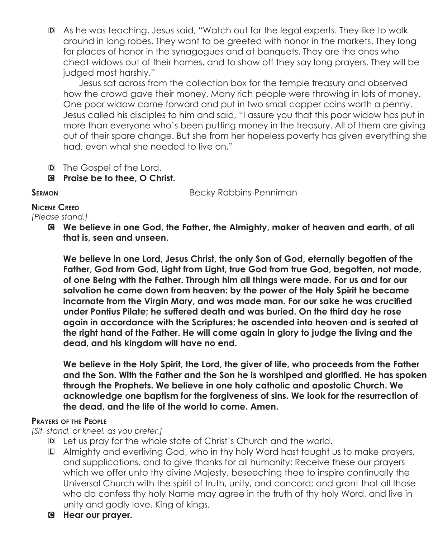D As he was teaching, Jesus said, "Watch out for the legal experts. They like to walk around in long robes. They want to be greeted with honor in the markets. They long for places of honor in the synagogues and at banquets. They are the ones who cheat widows out of their homes, and to show off they say long prayers. They will be judged most harshly."

 Jesus sat across from the collection box for the temple treasury and observed how the crowd gave their money. Many rich people were throwing in lots of money. One poor widow came forward and put in two small copper coins worth a penny. Jesus called his disciples to him and said, "I assure you that this poor widow has put in more than everyone who's been putting money in the treasury. All of them are giving out of their spare change. But she from her hopeless poverty has given everything she had, even what she needed to live on."

- D The Gospel of the Lord.
- C **Praise be to thee, O Christ.**

**SERMON Becky Robbins-Penniman** 

#### **Nicene Creed**

*[Please stand.]*

C **We believe in one God, the Father, the Almighty, maker of heaven and earth, of all that is, seen and unseen.** 

**We believe in one Lord, Jesus Christ, the only Son of God, eternally begotten of the Father, God from God, Light from Light, true God from true God, begotten, not made, of one Being with the Father. Through him all things were made. For us and for our salvation he came down from heaven: by the power of the Holy Spirit he became incarnate from the Virgin Mary, and was made man. For our sake he was crucified under Pontius Pilate; he suffered death and was buried. On the third day he rose again in accordance with the Scriptures; he ascended into heaven and is seated at the right hand of the Father. He will come again in glory to judge the living and the dead, and his kingdom will have no end.**

**We believe in the Holy Spirit, the Lord, the giver of life, who proceeds from the Father and the Son. With the Father and the Son he is worshiped and glorified. He has spoken through the Prophets. We believe in one holy catholic and apostolic Church. We acknowledge one baptism for the forgiveness of sins. We look for the resurrection of the dead, and the life of the world to come. Amen.**

#### **Prayers of the People**

*[Sit, stand, or kneel, as you prefer.]*

- D Let us pray for the whole state of Christ's Church and the world.
- L Almighty and everliving God, who in thy holy Word hast taught us to make prayers, and supplications, and to give thanks for all humanity: Receive these our prayers which we offer unto thy divine Majesty, beseeching thee to inspire continually the Universal Church with the spirit of truth, unity, and concord; and grant that all those who do confess thy holy Name may agree in the truth of thy holy Word, and live in unity and godly love. King of kings,
- C **Hear our prayer.**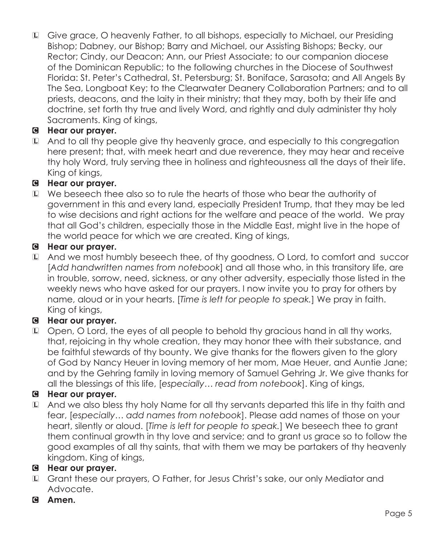L Give grace, O heavenly Father, to all bishops, especially to Michael, our Presiding Bishop; Dabney, our Bishop; Barry and Michael, our Assisting Bishops; Becky, our Rector; Cindy, our Deacon; Ann, our Priest Associate; to our companion diocese of the Dominican Republic; to the following churches in the Diocese of Southwest Florida: St. Peter's Cathedral, St. Petersburg; St. Boniface, Sarasota; and All Angels By The Sea, Longboat Key; to the Clearwater Deanery Collaboration Partners; and to all priests, deacons, and the laity in their ministry; that they may, both by their life and doctrine, set forth thy true and lively Word, and rightly and duly administer thy holy Sacraments. King of kings,

#### C **Hear our prayer.**

L And to all thy people give thy heavenly grace, and especially to this congregation here present; that, with meek heart and due reverence, they may hear and receive thy holy Word, truly serving thee in holiness and righteousness all the days of their life. King of kings,

#### C **Hear our prayer.**

L We beseech thee also so to rule the hearts of those who bear the authority of government in this and every land, especially President Trump, that they may be led to wise decisions and right actions for the welfare and peace of the world. We pray that all God's children, especially those in the Middle East, might live in the hope of the world peace for which we are created. King of kings,

#### C **Hear our prayer.**

L And we most humbly beseech thee, of thy goodness, O Lord, to comfort and succor [*Add handwritten names from notebook*] and all those who, in this transitory life, are in trouble, sorrow, need, sickness, or any other adversity, especially those listed in the weekly news who have asked for our prayers. I now invite you to pray for others by name, aloud or in your hearts. [*Time is left for people to speak.*] We pray in faith. King of kings,

#### C **Hear our prayer.**

L Open, O Lord, the eyes of all people to behold thy gracious hand in all thy works, that, rejoicing in thy whole creation, they may honor thee with their substance, and be faithful stewards of thy bounty. We give thanks for the flowers given to the glory of God by Nancy Heuer in loving memory of her mom, Mae Heuer, and Auntie Jane; and by the Gehring family in loving memory of Samuel Gehring Jr. We give thanks for all the blessings of this life, [*especially… read from notebook*]. King of kings,

#### C **Hear our prayer.**

L And we also bless thy holy Name for all thy servants departed this life in thy faith and fear, [*especially… add names from notebook*]. Please add names of those on your heart, silently or aloud. [*Time is left for people to speak.*] We beseech thee to grant them continual growth in thy love and service; and to grant us grace so to follow the good examples of all thy saints, that with them we may be partakers of thy heavenly kingdom. King of kings,

#### C **Hear our prayer.**

- L Grant these our prayers, O Father, for Jesus Christ's sake, our only Mediator and Advocate.
- C **Amen.**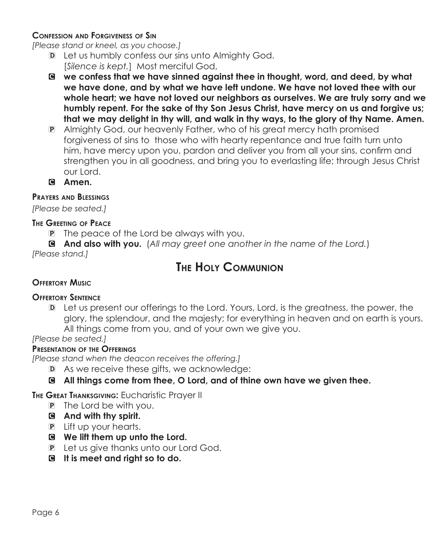#### **Confession and Forgiveness of Sin**

*[Please stand or kneel, as you choose.]*

- D Let us humbly confess our sins unto Almighty God. [*Silence is kept.*] Most merciful God,
- C **we confess that we have sinned against thee in thought, word, and deed, by what we have done, and by what we have left undone. We have not loved thee with our whole heart; we have not loved our neighbors as ourselves. We are truly sorry and we humbly repent. For the sake of thy Son Jesus Christ, have mercy on us and forgive us; that we may delight in thy will, and walk in thy ways, to the glory of thy Name. Amen.**
- P Almighty God, our heavenly Father, who of his great mercy hath promised forgiveness of sins to those who with hearty repentance and true faith turn unto him, have mercy upon you, pardon and deliver you from all your sins, confirm and strengthen you in all goodness, and bring you to everlasting life; through Jesus Christ our Lord.
- C **Amen.**

#### **Prayers and Blessings**

*[Please be seated.]*

#### **The Greeting of Peace**

- P The peace of the Lord be always with you.
- C **And also with you.** (*All may greet one another in the name of the Lord.*)

*[Please stand.]*

## **The Holy Communion**

#### **Offertory Music**

#### **Offertory Sentence**

D Let us present our offerings to the Lord. Yours, Lord, is the greatness, the power, the glory, the splendour, and the majesty; for everything in heaven and on earth is yours. All things come from you, and of your own we give you.

*[Please be seated.]*

#### **Presentation of the Offerings**

*[Please stand when the deacon receives the offering.]*

- D As we receive these gifts, we acknowledge:
- C **All things come from thee, O Lord, and of thine own have we given thee.**

**The Great Thanksgiving:** Eucharistic Prayer II

- P The Lord be with you.
- C **And with thy spirit.**
- P Lift up your hearts.
- C **We lift them up unto the Lord.**
- P Let us give thanks unto our Lord God.
- C **It is meet and right so to do.**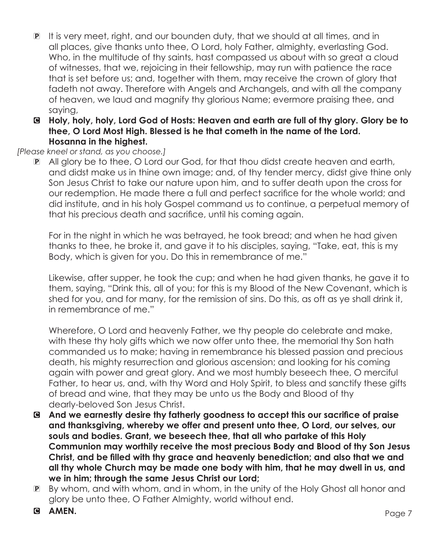- P It is very meet, right, and our bounden duty, that we should at all times, and in all places, give thanks unto thee, O Lord, holy Father, almighty, everlasting God. Who, in the multitude of thy saints, hast compassed us about with so great a cloud of witnesses, that we, rejoicing in their fellowship, may run with patience the race that is set before us; and, together with them, may receive the crown of glory that fadeth not away. Therefore with Angels and Archangels, and with all the company of heaven, we laud and magnify thy glorious Name; evermore praising thee, and saying,
- C **Holy, holy, holy, Lord God of Hosts: Heaven and earth are full of thy glory. Glory be to thee, O Lord Most High. Blessed is he that cometh in the name of the Lord. Hosanna in the highest.**

*[Please kneel or stand, as you choose.]*

P All glory be to thee, O Lord our God, for that thou didst create heaven and earth, and didst make us in thine own image; and, of thy tender mercy, didst give thine only Son Jesus Christ to take our nature upon him, and to suffer death upon the cross for our redemption. He made there a full and perfect sacrifice for the whole world; and did institute, and in his holy Gospel command us to continue, a perpetual memory of that his precious death and sacrifice, until his coming again.

For in the night in which he was betrayed, he took bread; and when he had given thanks to thee, he broke it, and gave it to his disciples, saying, "Take, eat, this is my Body, which is given for you. Do this in remembrance of me."

Likewise, after supper, he took the cup; and when he had given thanks, he gave it to them, saying, "Drink this, all of you; for this is my Blood of the New Covenant, which is shed for you, and for many, for the remission of sins. Do this, as oft as ye shall drink it, in remembrance of me."

 Wherefore, O Lord and heavenly Father, we thy people do celebrate and make, with these thy holy gifts which we now offer unto thee, the memorial thy Son hath commanded us to make; having in remembrance his blessed passion and precious death, his mighty resurrection and glorious ascension; and looking for his coming again with power and great glory. And we most humbly beseech thee, O merciful Father, to hear us, and, with thy Word and Holy Spirit, to bless and sanctify these gifts of bread and wine, that they may be unto us the Body and Blood of thy dearly-beloved Son Jesus Christ.

- C **And we earnestly desire thy fatherly goodness to accept this our sacrifice of praise and thanksgiving, whereby we offer and present unto thee, O Lord, our selves, our souls and bodies. Grant, we beseech thee, that all who partake of this Holy Communion may worthily receive the most precious Body and Blood of thy Son Jesus Christ, and be filled with thy grace and heavenly benediction; and also that we and all thy whole Church may be made one body with him, that he may dwell in us, and we in him; through the same Jesus Christ our Lord;**
- P By whom, and with whom, and in whom, in the unity of the Holy Ghost all honor and glory be unto thee, O Father Almighty, world without end.
- C **AMEN.**